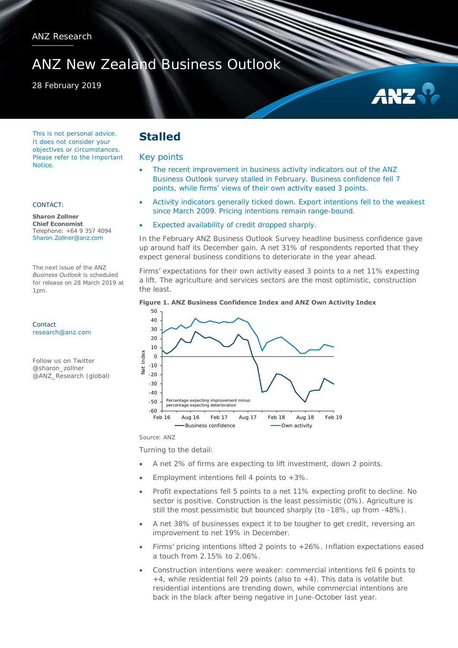# ANZ New Zealand Business Outlook

### 28 February 2019



This is not personal advice. It does not consider your objectives or circumstances. Please refer to the Important Notice.

#### CONTACT:

**Sharon Zollner Chief Economist**  Telephone: +64 9 357 4094 Sharon.Zollner@anz.com

The next issue of the ANZ *Business Outlook* is scheduled for release on 28 March 2019 at 1pm.

Contact [research@anz.com](mailto:research@anz.com)

Follow us on Twitter @sharon\_zollner @ANZ\_Research (global)

# **Stalled**

#### Key points

- The recent improvement in business activity indicators out of the ANZ Business Outlook survey stalled in February. Business confidence fell 7 points, while firms' views of their own activity eased 3 points.
- Activity indicators generally ticked down. Export intentions fell to the weakest since March 2009. Pricing intentions remain range-bound.
- Expected availability of credit dropped sharply.

In the February ANZ Business Outlook Survey headline business confidence gave up around half its December gain. A net 31% of respondents reported that they expect general business conditions to deteriorate in the year ahead.

Firms' expectations for their own activity eased 3 points to a net 11% expecting a lift. The agriculture and services sectors are the most optimistic, construction the least.





Source: ANZ

Turning to the detail:

- A net 2% of firms are expecting to lift investment, down 2 points.
- Employment intentions fell 4 points to +3%.
- Profit expectations fell 5 points to a net 11% expecting profit to decline. No sector is positive. Construction is the least pessimistic (0%). Agriculture is still the most pessimistic but bounced sharply (to -18%, up from -48%).
- A net 38% of businesses expect it to be tougher to get credit, reversing an improvement to net 19% in December.
- Firms' pricing intentions lifted 2 points to +26%. Inflation expectations eased a touch from 2.15% to 2.06%.
- Construction intentions were weaker: commercial intentions fell 6 points to  $+4$ , while residential fell 29 points (also to  $+4$ ). This data is volatile but residential intentions are trending down, while commercial intentions are back in the black after being negative in June-October last year.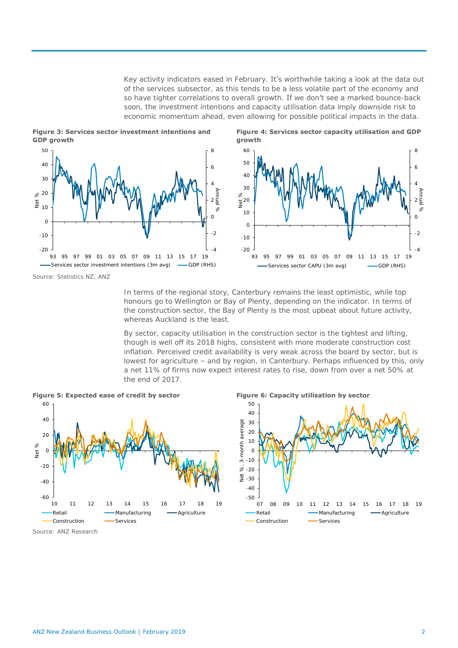Key activity indicators eased in February. It's worthwhile taking a look at the data out of the services subsector, as this tends to be a less volatile part of the economy and so have tighter correlations to overall growth. If we don't see a marked bounce-back soon, the investment intentions and capacity utilisation data imply downside risk to economic momentum ahead, even allowing for possible political impacts in the data.







Source: Statistics NZ, ANZ

In terms of the regional story, Canterbury remains the least optimistic, while top honours go to Wellington or Bay of Plenty, depending on the indicator. In terms of the construction sector, the Bay of Plenty is the most upbeat about future activity, whereas Auckland is the least.

By sector, capacity utilisation in the construction sector is the tightest and lifting, though is well off its 2018 highs, consistent with more moderate construction cost inflation. Perceived credit availability is very weak across the board by sector, but is lowest for agriculture – and by region, in Canterbury. Perhaps influenced by this, only a net 11% of firms now expect interest rates to rise, down from over a net 50% at the end of 2017.







Source: ANZ Research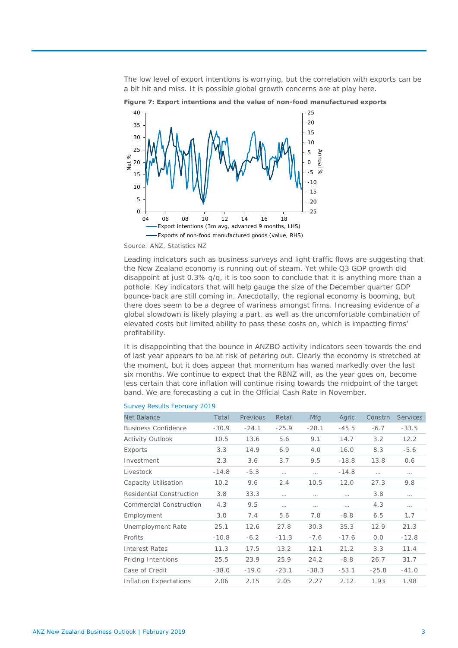The low level of export intentions is worrying, but the correlation with exports can be a bit hit and miss. It is possible global growth concerns are at play here.



**Figure 7: Export intentions and the value of non-food manufactured exports** 

Leading indicators such as business surveys and light traffic flows are suggesting that the New Zealand economy is running out of steam. Yet while Q3 GDP growth did disappoint at just 0.3% q/q, it is too soon to conclude that it is anything more than a pothole. Key indicators that will help gauge the size of the December quarter GDP bounce-back are still coming in. Anecdotally, the regional economy is booming, but there does seem to be a degree of wariness amongst firms. Increasing evidence of a global slowdown is likely playing a part, as well as the uncomfortable combination of elevated costs but limited ability to pass these costs on, which is impacting firms' profitability.

It is disappointing that the bounce in ANZBO activity indicators seen towards the end of last year appears to be at risk of petering out. Clearly the economy is stretched at the moment, but it does appear that momentum has waned markedly over the last six months. We continue to expect that the RBNZ will, as the year goes on, become less certain that core inflation will continue rising towards the midpoint of the target band. We are forecasting a cut in the Official Cash Rate in November.

| Net Balance                    | Total   | Previous | Retail   | Mfg      | Agric    | Constrn  | Services |
|--------------------------------|---------|----------|----------|----------|----------|----------|----------|
| <b>Business Confidence</b>     | $-30.9$ | $-24.1$  | $-25.9$  | $-28.1$  | $-45.5$  | $-6.7$   | $-33.5$  |
| Activity Outlook               | 10.5    | 13.6     | 5.6      | 9.1      | 14.7     | 3.2      | 12.2     |
| Exports                        | 3.3     | 14.9     | 6.9      | 4.0      | 16.0     | 8.3      | $-5.6$   |
| Investment                     | 2.3     | 3.6      | 3.7      | 9.5      | $-18.8$  | 13.8     | 0.6      |
| Livestock                      | $-14.8$ | $-5.3$   | $\cdots$ | $\cdots$ | $-14.8$  | $\cdots$ | $\cdots$ |
| Capacity Utilisation           | 10.2    | 9.6      | 2.4      | 10.5     | 12.0     | 27.3     | 9.8      |
| Residential Construction       | 3.8     | 33.3     | $\cdots$ | $\cdots$ | $\cdots$ | 3.8      | $\cdots$ |
| <b>Commercial Construction</b> | 4.3     | 9.5      | $\cdots$ | .        |          | 4.3      | $\cdots$ |
| Employment                     | 3.0     | 7.4      | 5.6      | 7.8      | $-8.8$   | 6.5      | 1.7      |
| Unemployment Rate              | 25.1    | 12.6     | 27.8     | 30.3     | 35.3     | 12.9     | 21.3     |
| Profits                        | $-10.8$ | $-6.2$   | $-11.3$  | $-7.6$   | $-17.6$  | 0.0      | $-12.8$  |
| Interest Rates                 | 11.3    | 17.5     | 13.2     | 12.1     | 21.2     | 3.3      | 11.4     |
| Pricing Intentions             | 25.5    | 23.9     | 25.9     | 24.2     | $-8.8$   | 26.7     | 31.7     |
| Ease of Credit                 | $-38.0$ | $-19.0$  | $-23.1$  | $-38.3$  | $-53.1$  | $-25.8$  | $-41.0$  |
| Inflation Expectations         | 2.06    | 2.15     | 2.05     | 2.27     | 2.12     | 1.93     | 1.98     |

#### Survey Results February 2019

Source: ANZ, Statistics NZ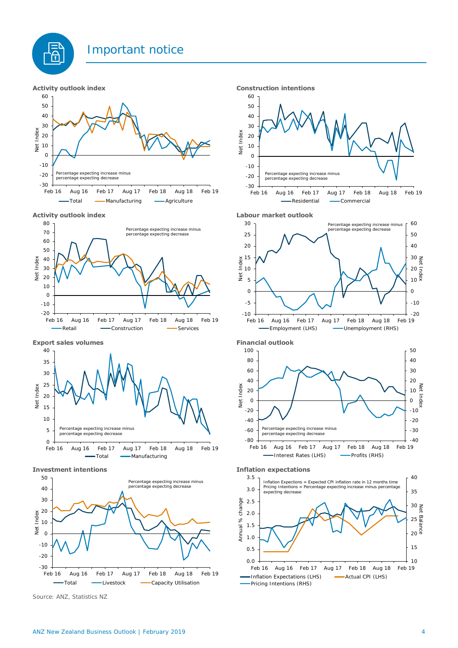

트<br>유









**Investment intentions Inflation expectations**



Source: ANZ, Statistics NZ













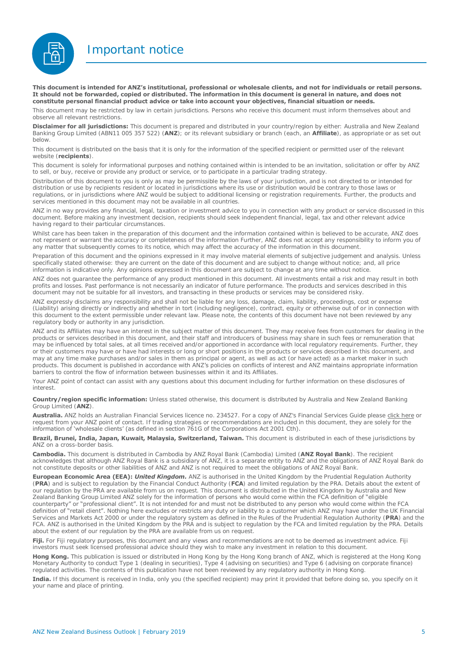Important notice



**This document is intended for ANZ's institutional, professional or wholesale clients, and not for individuals or retail persons. It should not be forwarded, copied or distributed. The information in this document is general in nature, and does not constitute personal financial product advice or take into account your objectives, financial situation or needs.** 

This document may be restricted by law in certain jurisdictions. Persons who receive this document must inform themselves about and observe all relevant restrictions.

**Disclaimer for all jurisdictions:** This document is prepared and distributed in your country/region by either: Australia and New Zealand Banking Group Limited (ABN11 005 357 522) (**ANZ**); or its relevant subsidiary or branch (each, an **Affiliate**), as appropriate or as set out below.

This document is distributed on the basis that it is only for the information of the specified recipient or permitted user of the relevant website (**recipients**).

This document is solely for informational purposes and nothing contained within is intended to be an invitation, solicitation or offer by ANZ to sell, or buy, receive or provide any product or service, or to participate in a particular trading strategy.

Distribution of this document to you is only as may be permissible by the laws of your jurisdiction, and is not directed to or intended for distribution or use by recipients resident or located in jurisdictions where its use or distribution would be contrary to those laws or regulations, or in jurisdictions where ANZ would be subject to additional licensing or registration requirements. Further, the products and services mentioned in this document may not be available in all countries.

ANZ in no way provides any financial, legal, taxation or investment advice to you in connection with any product or service discussed in this document. Before making any investment decision, recipients should seek independent financial, legal, tax and other relevant advice having regard to their particular circumstances.

Whilst care has been taken in the preparation of this document and the information contained within is believed to be accurate. ANZ does not represent or warrant the accuracy or completeness of the information Further, ANZ does not accept any responsibility to inform you of any matter that subsequently comes to its notice, which may affect the accuracy of the information in this document.

Preparation of this document and the opinions expressed in it may involve material elements of subjective judgement and analysis. Unless specifically stated otherwise: they are current on the date of this document and are subject to change without notice; and, all price information is indicative only. Any opinions expressed in this document are subject to change at any time without notice.

ANZ does not guarantee the performance of any product mentioned in this document. All investments entail a risk and may result in both profits and losses. Past performance is not necessarily an indicator of future performance. The products and services described in this document may not be suitable for all investors, and transacting in these products or services may be considered risky.

ANZ expressly disclaims any responsibility and shall not be liable for any loss, damage, claim, liability, proceedings, cost or expense (Liability) arising directly or indirectly and whether in tort (including negligence), contract, equity or otherwise out of or in connection with this document to the extent permissible under relevant law. Please note, the contents of this document have not been reviewed by any regulatory body or authority in any jurisdiction.

ANZ and its Affiliates may have an interest in the subject matter of this document. They may receive fees from customers for dealing in the products or services described in this document, and their staff and introducers of business may share in such fees or remuneration that may be influenced by total sales, at all times received and/or apportioned in accordance with local regulatory requirements. Further, they or their customers may have or have had interests or long or short positions in the products or services described in this document, and may at any time make purchases and/or sales in them as principal or agent, as well as act (or have acted) as a market maker in such products. This document is published in accordance with ANZ's policies on conflicts of interest and ANZ maintains appropriate information barriers to control the flow of information between businesses within it and its Affiliates.

Your ANZ point of contact can assist with any questions about this document including for further information on these disclosures of interest.

**Country/region specific information:** Unless stated otherwise, this document is distributed by Australia and New Zealand Banking Group Limited (**ANZ**).

**Australia.** ANZ holds an Australian Financial Services licence no. 234527. For a copy of ANZ's Financial Services Guide please [click here o](http://www.anz.com/documents/AU/aboutANZ/FinancialServicesGuide.pdf)r request from your ANZ point of contact. If trading strategies or recommendations are included in this document, they are solely for the information of 'wholesale clients' (as defined in section 761G of the Corporations Act 2001 Cth).

**Brazil, Brunei, India, Japan, Kuwait, Malaysia, Switzerland, Taiwan.** This document is distributed in each of these jurisdictions by ANZ on a cross-border basis.

**Cambodia.** This document is distributed in Cambodia by ANZ Royal Bank (Cambodia) Limited (**ANZ Royal Bank**). The recipient acknowledges that although ANZ Royal Bank is a subsidiary of ANZ, it is a separate entity to ANZ and the obligations of ANZ Royal Bank do not constitute deposits or other liabilities of ANZ and ANZ is not required to meet the obligations of ANZ Royal Bank.

**European Economic Area (EEA):** *United Kingdom.* ANZ is authorised in the United Kingdom by the Prudential Regulation Authority (**PRA**) and is subject to regulation by the Financial Conduct Authority (**FCA**) and limited regulation by the PRA. Details about the extent of our regulation by the PRA are available from us on request. This document is distributed in the United Kingdom by Australia and New Zealand Banking Group Limited ANZ solely for the information of persons who would come within the FCA definition of "eligible counterparty" or "professional client". It is not intended for and must not be distributed to any person who would come within the FCA definition of "retail client". Nothing here excludes or restricts any duty or liability to a customer which ANZ may have under the UK Financial Services and Markets Act 2000 or under the regulatory system as defined in the Rules of the Prudential Regulation Authority (**PRA**) and the FCA. ANZ is authorised in the United Kingdom by the PRA and is subject to regulation by the FCA and limited regulation by the PRA. Details about the extent of our regulation by the PRA are available from us on request

**Fiji.** For Fiji regulatory purposes, this document and any views and recommendations are not to be deemed as investment advice. Fiji investors must seek licensed professional advice should they wish to make any investment in relation to this document.

**Hong Kong.** This publication is issued or distributed in Hong Kong by the Hong Kong branch of ANZ, which is registered at the Hong Kong Monetary Authority to conduct Type 1 (dealing in securities), Type 4 (advising on securities) and Type 6 (advising on corporate finance) regulated activities. The contents of this publication have not been reviewed by any regulatory authority in Hong Kong.

**India.** If this document is received in India, only you (the specified recipient) may print it provided that before doing so, you specify on it your name and place of printing.